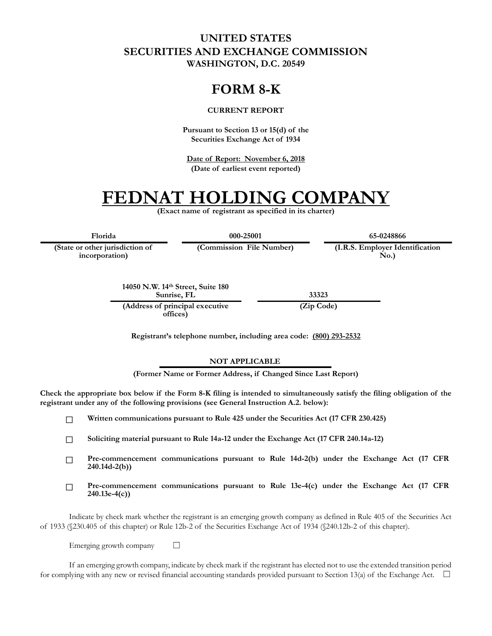## **UNITED STATES SECURITIES AND EXCHANGE COMMISSION WASHINGTON, D.C. 20549**

# **FORM 8-K**

#### **CURRENT REPORT**

**Pursuant to Section 13 or 15(d) of the Securities Exchange Act of 1934**

**Date of Report: November 6, 2018 (Date of earliest event reported)**

# **FEDNAT HOLDING COMPANY**

**(Exact name of registrant as specified in its charter)**

**(State or other jurisdiction of**

**incorporation)**

**Florida 000-25001 65-0248866**

**(Commission File Number) (I.R.S. Employer Identification No.)**

**14050 N.W. 14th Street, Suite 180 Sunrise, FL 33323**

**(Address of principal executive offices)**

**(Zip Code)**

**Registrant's telephone number, including area code: (800) 293-2532**

#### **NOT APPLICABLE**

**(Former Name or Former Address, if Changed Since Last Report)**

**Check the appropriate box below if the Form 8-K filing is intended to simultaneously satisfy the filing obligation of the registrant under any of the following provisions (see General Instruction A.2. below):**

 $\Box$ **Written communications pursuant to Rule 425 under the Securities Act (17 CFR 230.425)**

**Soliciting material pursuant to Rule 14a-12 under the Exchange Act (17 CFR 240.14a-12)**  $\Box$ 

- **Pre-commencement communications pursuant to Rule 14d-2(b) under the Exchange Act (17 CFR**   $\Box$ **240.14d-2(b))**
- **Pre-commencement communications pursuant to Rule 13e-4(c) under the Exchange Act (17 CFR**   $\Box$ **240.13e-4(c))**

Indicate by check mark whether the registrant is an emerging growth company as defined in Rule 405 of the Securities Act of 1933 (§230.405 of this chapter) or Rule 12b-2 of the Securities Exchange Act of 1934 (§240.12b-2 of this chapter).

Emerging growth company  $\Box$ 

If an emerging growth company, indicate by check mark if the registrant has elected not to use the extended transition period for complying with any new or revised financial accounting standards provided pursuant to Section 13(a) of the Exchange Act.  $\square$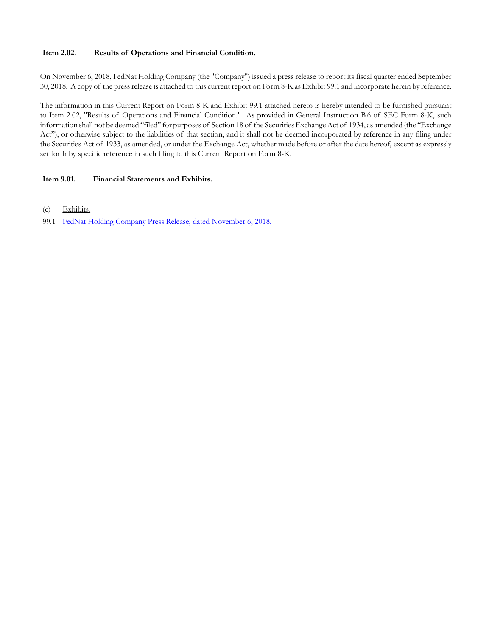#### **Item 2.02. Results of Operations and Financial Condition.**

On November 6, 2018, FedNat Holding Company (the "Company") issued a press release to report its fiscal quarter ended September 30, 2018. A copy of the press release is attached to this current report on Form 8-K as Exhibit 99.1 and incorporate herein by reference.

The information in this Current Report on Form 8-K and Exhibit 99.1 attached hereto is hereby intended to be furnished pursuant to Item 2.02, "Results of Operations and Financial Condition." As provided in General Instruction B.6 of SEC Form 8-K, such information shall not be deemed "filed" for purposes of Section 18 of the Securities Exchange Act of 1934, as amended (the "Exchange Act"), or otherwise subject to the liabilities of that section, and it shall not be deemed incorporated by reference in any filing under the Securities Act of 1933, as amended, or under the Exchange Act, whether made before or after the date hereof, except as expressly set forth by specific reference in such filing to this Current Report on Form 8-K.

#### **Item 9.01. Financial Statements and Exhibits.**

- (c) Exhibits.
- 99.1 FedNat Holding Company Press Release, dated November 6, 2018.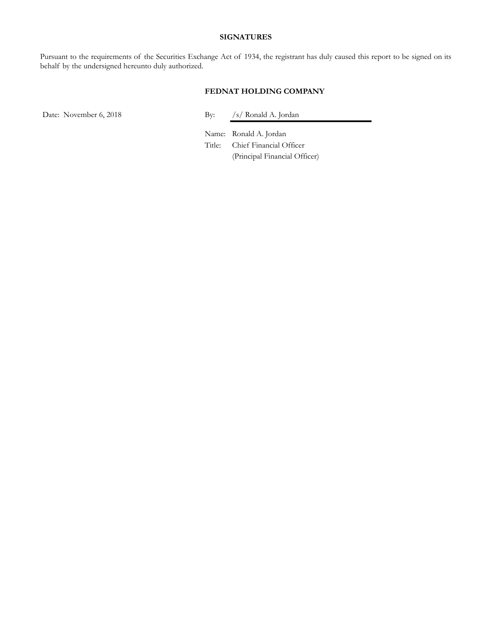#### **SIGNATURES**

Pursuant to the requirements of the Securities Exchange Act of 1934, the registrant has duly caused this report to be signed on its behalf by the undersigned hereunto duly authorized.

#### **FEDNAT HOLDING COMPANY**

Date: November 6, 2018 By: /s/ Ronald A. Jordan

Name: Ronald A. Jordan Title: Chief Financial Officer (Principal Financial Officer)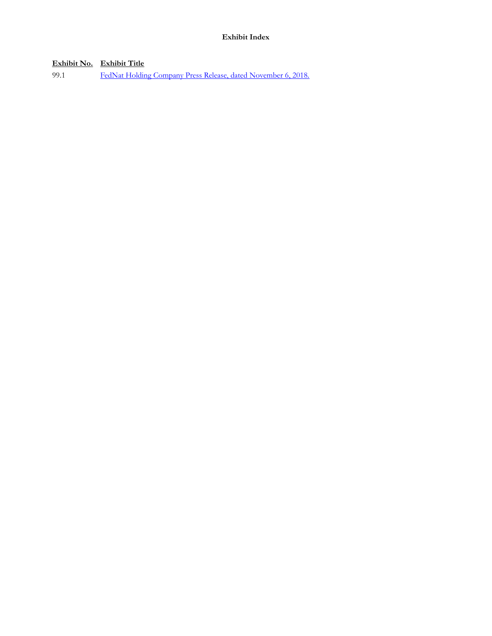**Exhibit No. Exhibit Title**

99.1 FedNat Holding Company Press Release, dated November 6, 2018.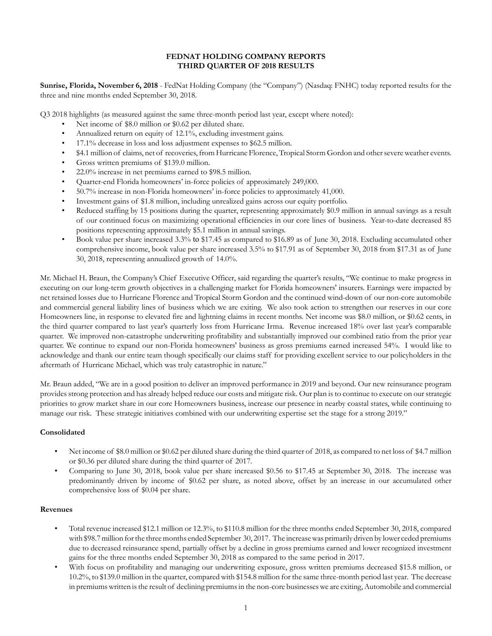#### **FEDNAT HOLDING COMPANY REPORTS THIRD QUARTER OF 2018 RESULTS**

**Sunrise, Florida, November 6, 2018** - FedNat Holding Company (the "Company") (Nasdaq: FNHC) today reported results for the three and nine months ended September 30, 2018.

Q3 2018 highlights (as measured against the same three-month period last year, except where noted):

- Net income of \$8.0 million or \$0.62 per diluted share.
- Annualized return on equity of 12.1%, excluding investment gains.
- 17.1% decrease in loss and loss adjustment expenses to \$62.5 million.
- \$4.1 million of claims, net of recoveries, from Hurricane Florence, Tropical Storm Gordon and other severe weather events.
- Gross written premiums of \$139.0 million.
- 22.0% increase in net premiums earned to \$98.5 million.
- Quarter-end Florida homeowners' in-force policies of approximately 249,000.
- 50.7% increase in non-Florida homeowners' in-force policies to approximately 41,000.
- Investment gains of \$1.8 million, including unrealized gains across our equity portfolio.
- Reduced staffing by 15 positions during the quarter, representing approximately \$0.9 million in annual savings as a result of our continued focus on maximizing operational efficiencies in our core lines of business. Year-to-date decreased 85 positions representing approximately \$5.1 million in annual savings.
- Book value per share increased 3.3% to \$17.45 as compared to \$16.89 as of June 30, 2018. Excluding accumulated other comprehensive income, book value per share increased 3.5% to \$17.91 as of September 30, 2018 from \$17.31 as of June 30, 2018, representing annualized growth of 14.0%.

Mr. Michael H. Braun, the Company's Chief Executive Officer, said regarding the quarter's results, "We continue to make progress in executing on our long-term growth objectives in a challenging market for Florida homeowners' insurers. Earnings were impacted by net retained losses due to Hurricane Florence and Tropical Storm Gordon and the continued wind-down of our non-core automobile and commercial general liability lines of business which we are exiting. We also took action to strengthen our reserves in our core Homeowners line, in response to elevated fire and lightning claims in recent months. Net income was \$8.0 million, or \$0.62 cents, in the third quarter compared to last year's quarterly loss from Hurricane Irma. Revenue increased 18% over last year's comparable quarter. We improved non-catastrophe underwriting profitability and substantially improved our combined ratio from the prior year quarter. We continue to expand our non-Florida homeowners' business as gross premiums earned increased 54%. I would like to acknowledge and thank our entire team though specifically our claims staff for providing excellent service to our policyholders in the aftermath of Hurricane Michael, which was truly catastrophic in nature."

Mr. Braun added, "We are in a good position to deliver an improved performance in 2019 and beyond. Our new reinsurance program provides strong protection and has already helped reduce our costs and mitigate risk. Our plan is to continue to execute on our strategic priorities to grow market share in our core Homeowners business, increase our presence in nearby coastal states, while continuing to manage our risk. These strategic initiatives combined with our underwriting expertise set the stage for a strong 2019."

#### **Consolidated**

- Net income of \$8.0 million or \$0.62 per diluted share during the third quarter of 2018, as compared to net loss of \$4.7 million or \$0.36 per diluted share during the third quarter of 2017.
- Comparing to June 30, 2018, book value per share increased \$0.56 to \$17.45 at September 30, 2018. The increase was predominantly driven by income of \$0.62 per share, as noted above, offset by an increase in our accumulated other comprehensive loss of \$0.04 per share.

#### **Revenues**

- Total revenue increased \$12.1 million or 12.3%, to \$110.8 million for the three months ended September 30, 2018, compared with \$98.7 million for the three months ended September 30, 2017. The increase was primarily driven by lower ceded premiums due to decreased reinsurance spend, partially offset by a decline in gross premiums earned and lower recognized investment gains for the three months ended September 30, 2018 as compared to the same period in 2017.
- With focus on profitability and managing our underwriting exposure, gross written premiums decreased \$15.8 million, or 10.2%, to \$139.0 million in the quarter, compared with \$154.8 million for the same three-month period last year. The decrease in premiums written is the result of declining premiums in the non-core businesses we are exiting, Automobile and commercial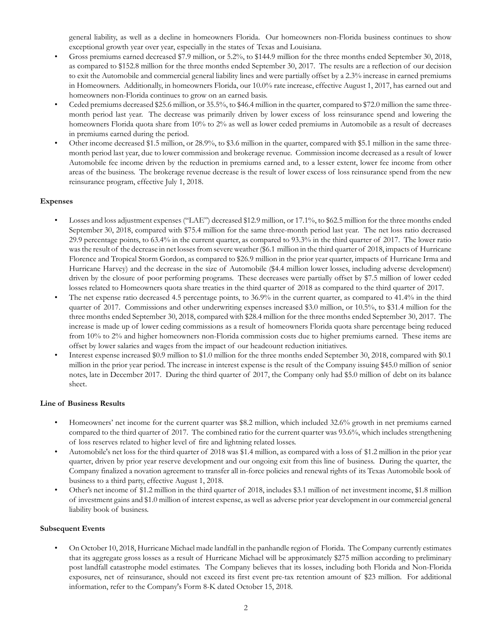general liability, as well as a decline in homeowners Florida. Our homeowners non-Florida business continues to show exceptional growth year over year, especially in the states of Texas and Louisiana.

- Gross premiums earned decreased \$7.9 million, or 5.2%, to \$144.9 million for the three months ended September 30, 2018, as compared to \$152.8 million for the three months ended September 30, 2017. The results are a reflection of our decision to exit the Automobile and commercial general liability lines and were partially offset by a 2.3% increase in earned premiums in Homeowners. Additionally, in homeowners Florida, our 10.0% rate increase, effective August 1, 2017, has earned out and homeowners non-Florida continues to grow on an earned basis.
- Ceded premiums decreased \$25.6 million, or 35.5%, to \$46.4 million in the quarter, compared to \$72.0 million the same threemonth period last year. The decrease was primarily driven by lower excess of loss reinsurance spend and lowering the homeowners Florida quota share from 10% to 2% as well as lower ceded premiums in Automobile as a result of decreases in premiums earned during the period.
- Other income decreased \$1.5 million, or 28.9%, to \$3.6 million in the quarter, compared with \$5.1 million in the same threemonth period last year, due to lower commission and brokerage revenue. Commission income decreased as a result of lower Automobile fee income driven by the reduction in premiums earned and, to a lesser extent, lower fee income from other areas of the business. The brokerage revenue decrease is the result of lower excess of loss reinsurance spend from the new reinsurance program, effective July 1, 2018.

#### **Expenses**

- Losses and loss adjustment expenses ("LAE") decreased \$12.9 million, or 17.1%, to \$62.5 million for the three months ended September 30, 2018, compared with \$75.4 million for the same three-month period last year. The net loss ratio decreased 29.9 percentage points, to 63.4% in the current quarter, as compared to 93.3% in the third quarter of 2017. The lower ratio was the result of the decrease in net losses from severe weather (\$6.1 million in the third quarter of 2018, impacts of Hurricane Florence and Tropical Storm Gordon, as compared to \$26.9 million in the prior year quarter, impacts of Hurricane Irma and Hurricane Harvey) and the decrease in the size of Automobile (\$4.4 million lower losses, including adverse development) driven by the closure of poor performing programs. These decreases were partially offset by \$7.5 million of lower ceded losses related to Homeowners quota share treaties in the third quarter of 2018 as compared to the third quarter of 2017.
- The net expense ratio decreased 4.5 percentage points, to 36.9% in the current quarter, as compared to 41.4% in the third quarter of 2017. Commissions and other underwriting expenses increased \$3.0 million, or 10.5%, to \$31.4 million for the three months ended September 30, 2018, compared with \$28.4 million for the three months ended September 30, 2017. The increase is made up of lower ceding commissions as a result of homeowners Florida quota share percentage being reduced from 10% to 2% and higher homeowners non-Florida commission costs due to higher premiums earned. These items are offset by lower salaries and wages from the impact of our headcount reduction initiatives.
- Interest expense increased \$0.9 million to \$1.0 million for the three months ended September 30, 2018, compared with \$0.1 million in the prior year period. The increase in interest expense is the result of the Company issuing \$45.0 million of senior notes, late in December 2017. During the third quarter of 2017, the Company only had \$5.0 million of debt on its balance sheet.

#### **Line of Business Results**

- Homeowners' net income for the current quarter was \$8.2 million, which included 32.6% growth in net premiums earned compared to the third quarter of 2017. The combined ratio for the current quarter was 93.6%, which includes strengthening of loss reserves related to higher level of fire and lightning related losses.
- Automobile's net loss for the third quarter of 2018 was \$1.4 million, as compared with a loss of \$1.2 million in the prior year quarter, driven by prior year reserve development and our ongoing exit from this line of business. During the quarter, the Company finalized a novation agreement to transfer all in-force policies and renewal rights of its Texas Automobile book of business to a third party, effective August 1, 2018.
- Other's net income of \$1.2 million in the third quarter of 2018, includes \$3.1 million of net investment income, \$1.8 million of investment gains and \$1.0 million of interest expense, as well as adverse prior year development in our commercial general liability book of business.

#### **Subsequent Events**

• On October 10, 2018, Hurricane Michael made landfall in the panhandle region of Florida. The Company currently estimates that its aggregate gross losses as a result of Hurricane Michael will be approximately \$275 million according to preliminary post landfall catastrophe model estimates. The Company believes that its losses, including both Florida and Non-Florida exposures, net of reinsurance, should not exceed its first event pre-tax retention amount of \$23 million. For additional information, refer to the Company's Form 8-K dated October 15, 2018.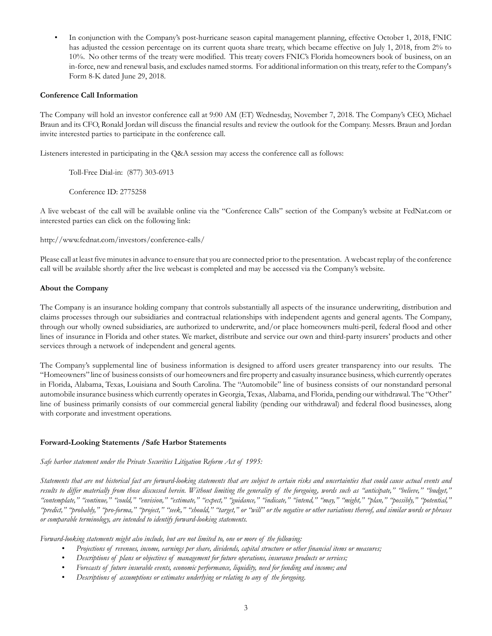• In conjunction with the Company's post-hurricane season capital management planning, effective October 1, 2018, FNIC has adjusted the cession percentage on its current quota share treaty, which became effective on July 1, 2018, from 2% to 10%. No other terms of the treaty were modified. This treaty covers FNIC's Florida homeowners book of business, on an in-force, new and renewal basis, and excludes named storms. For additional information on this treaty, refer to the Company's Form 8-K dated June 29, 2018.

#### **Conference Call Information**

The Company will hold an investor conference call at 9:00 AM (ET) Wednesday, November 7, 2018. The Company's CEO, Michael Braun and its CFO, Ronald Jordan will discuss the financial results and review the outlook for the Company. Messrs. Braun and Jordan invite interested parties to participate in the conference call.

Listeners interested in participating in the Q&A session may access the conference call as follows:

Toll-Free Dial-in: (877) 303-6913

Conference ID: 2775258

A live webcast of the call will be available online via the "Conference Calls" section of the Company's website at FedNat.com or interested parties can click on the following link:

http://www.fednat.com/investors/conference-calls/

Please call at least five minutes in advance to ensure that you are connected prior to the presentation. A webcast replay of the conference call will be available shortly after the live webcast is completed and may be accessed via the Company's website.

#### **About the Company**

The Company is an insurance holding company that controls substantially all aspects of the insurance underwriting, distribution and claims processes through our subsidiaries and contractual relationships with independent agents and general agents. The Company, through our wholly owned subsidiaries, are authorized to underwrite, and/or place homeowners multi-peril, federal flood and other lines of insurance in Florida and other states. We market, distribute and service our own and third-party insurers' products and other services through a network of independent and general agents.

The Company's supplemental line of business information is designed to afford users greater transparency into our results. The "Homeowners" line of business consists of our homeowners and fire property and casualty insurance business, which currently operates in Florida, Alabama, Texas, Louisiana and South Carolina. The "Automobile" line of business consists of our nonstandard personal automobile insurance business which currently operates in Georgia, Texas, Alabama, and Florida, pending our withdrawal. The "Other" line of business primarily consists of our commercial general liability (pending our withdrawal) and federal flood businesses, along with corporate and investment operations.

#### **Forward-Looking Statements /Safe Harbor Statements**

#### *Safe harbor statement under the Private Securities Litigation Reform Act of 1995:*

*Statements that are not historical fact are forward-looking statements that are subject to certain risks and uncertainties that could cause actual events and results to differ materially from those discussed herein. Without limiting the generality of the foregoing, words such as "anticipate," "believe," "budget,"* "contemplate," "continue," "could," "envision," "estimate," "expect," "guidance," "indicate," "intend," "may," "might," "plan," "possibly," "potential," *"predict," "probably," "pro-forma," "project," "seek," "should," "target," or "will" or the negative or other variations thereof, and similar words or phrases or comparable terminology, are intended to identify forward-looking statements.*

*Forward-looking statements might also include, but are not limited to, one or more of the following:*

- *Projections of revenues, income, earnings per share, dividends, capital structure or other financial items or measures;*
- *Descriptions of plans or objectives of management for future operations, insurance products or services;*
- *Forecasts of future insurable events, economic performance, liquidity, need for funding and income; and*
- *Descriptions of assumptions or estimates underlying or relating to any of the foregoing.*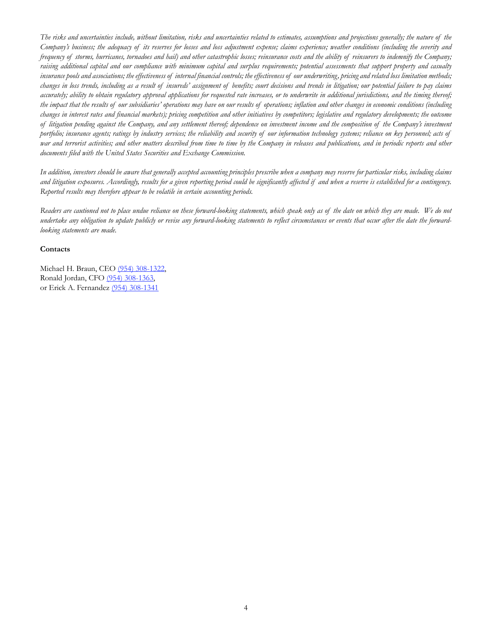*The risks and uncertainties include, without limitation, risks and uncertainties related to estimates, assumptions and projections generally; the nature of the Company's business; the adequacy of its reserves for losses and loss adjustment expense; claims experience; weather conditions (including the severity and frequency of storms, hurricanes, tornadoes and hail) and other catastrophic losses; reinsurance costs and the ability of reinsurers to indemnify the Company; raising additional capital and our compliance with minimum capital and surplus requirements; potential assessments that support property and casualty insurance pools and associations; the effectiveness of internal financial controls; the effectiveness of our underwriting, pricing and related loss limitation methods; changes in loss trends, including as a result of insureds' assignment of benefits; court decisions and trends in litigation; our potential failure to pay claims accurately; ability to obtain regulatory approval applications for requested rate increases, or to underwrite in additional jurisdictions, and the timing thereof; the impact that the results of our subsidiaries' operations may have on our results of operations; inflation and other changes in economic conditions (including changes in interest rates and financial markets); pricing competition and other initiatives by competitors; legislative and regulatory developments; the outcome of litigation pending against the Company, and any settlement thereof; dependence on investment income and the composition of the Company's investment portfolio; insurance agents; ratings by industry services; the reliability and security of our information technology systems; reliance on key personnel; acts of* war and terrorist activities; and other matters described from time to time by the Company in releases and publications, and in periodic reports and other *documents filed with the United States Securities and Exchange Commission.*

*In addition, investors should be aware that generally accepted accounting principles prescribe when a company may reserve for particular risks, including claims and litigation exposures. Accordingly, results for a given reporting period could be significantly affected if and when a reserve is established for a contingency. Reported results may therefore appear to be volatile in certain accounting periods.*

*Readers are cautioned not to place undue reliance on these forward-looking statements, which speak only as of the date on which they are made. We do not undertake any obligation to update publicly or revise any forward-looking statements to reflect circumstances or events that occur after the date the forwardlooking statements are made.*

#### **Contacts**

Michael H. Braun, CEO (954) 308-1322, Ronald Jordan, CFO (954) 308-1363, or Erick A. Fernandez (954) 308-1341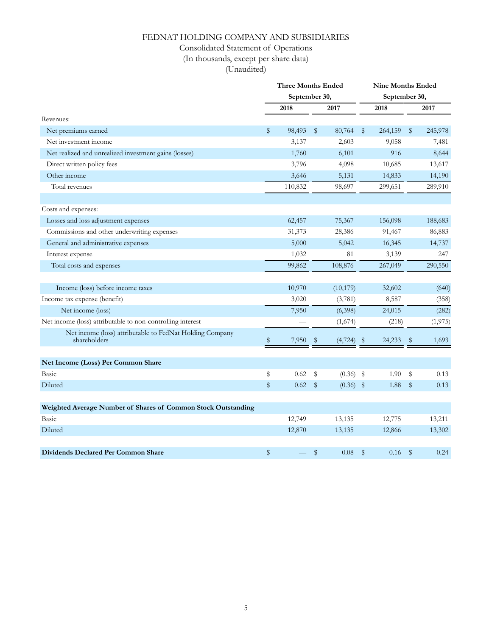## FEDNAT HOLDING COMPANY AND SUBSIDIARIES

## Consolidated Statement of Operations

(In thousands, except per share data)

(Unaudited)

|                                                                          |               | <b>Three Months Ended</b> |      |              | <b>Nine Months Ended</b> |               |               |          |  |  |  |
|--------------------------------------------------------------------------|---------------|---------------------------|------|--------------|--------------------------|---------------|---------------|----------|--|--|--|
|                                                                          |               | September 30,             |      |              |                          | September 30, |               |          |  |  |  |
|                                                                          |               | 2018                      |      | 2017         |                          | 2018          |               | 2017     |  |  |  |
| Revenues:                                                                |               |                           |      |              |                          |               |               |          |  |  |  |
| Net premiums earned                                                      | \$            | 98,493                    | \$   | 80,764       | $\frac{1}{2}$            | 264,159       | \$            | 245,978  |  |  |  |
| Net investment income                                                    |               | 3,137                     |      | 2,603        |                          | 9,058         |               | 7,481    |  |  |  |
| Net realized and unrealized investment gains (losses)                    |               | 1,760                     |      | 6,101        |                          | 916           |               | 8,644    |  |  |  |
| Direct written policy fees                                               |               | 3,796                     |      | 4,098        |                          | 10,685        |               | 13,617   |  |  |  |
| Other income                                                             |               | 3,646                     |      | 5,131        |                          | 14,833        |               | 14,190   |  |  |  |
| Total revenues                                                           |               | 110,832                   |      | 98,697       |                          | 299,651       |               | 289,910  |  |  |  |
|                                                                          |               |                           |      |              |                          |               |               |          |  |  |  |
| Costs and expenses:                                                      |               |                           |      |              |                          |               |               |          |  |  |  |
| Losses and loss adjustment expenses                                      |               | 62,457                    |      | 75,367       |                          | 156,098       |               | 188,683  |  |  |  |
| Commissions and other underwriting expenses                              |               | 31,373                    |      | 28,386       |                          | 91,467        |               | 86,883   |  |  |  |
| General and administrative expenses                                      |               | 5,000                     |      | 5,042        |                          | 16,345        |               | 14,737   |  |  |  |
| Interest expense                                                         |               | 1,032                     |      | 81           |                          | 3,139         |               | 247      |  |  |  |
| Total costs and expenses                                                 |               | 99,862                    |      | 108,876      |                          | 267,049       |               | 290,550  |  |  |  |
|                                                                          |               |                           |      |              |                          |               |               |          |  |  |  |
| Income (loss) before income taxes                                        |               | 10,970                    |      | (10, 179)    |                          | 32,602        |               | (640)    |  |  |  |
| Income tax expense (benefit)                                             |               | 3,020                     |      | (3,781)      |                          | 8,587         |               | (358)    |  |  |  |
| Net income (loss)                                                        |               | 7,950                     |      | (6,398)      |                          | 24,015        |               | (282)    |  |  |  |
| Net income (loss) attributable to non-controlling interest               |               |                           |      | (1,674)      |                          | (218)         |               | (1, 975) |  |  |  |
| Net income (loss) attributable to FedNat Holding Company<br>shareholders | S             | 7,950                     | Ş.   | $(4,724)$ \$ |                          | 24,233        | $\mathbb{S}$  | 1,693    |  |  |  |
|                                                                          |               |                           |      |              |                          |               |               |          |  |  |  |
| Net Income (Loss) Per Common Share                                       |               |                           |      |              |                          |               |               |          |  |  |  |
| Basic                                                                    | \$            | 0.62                      | \$   | $(0.36)$ \$  |                          | 1.90          | \$            | 0.13     |  |  |  |
| Diluted                                                                  | \$            | 0.62                      | $\$$ | $(0.36)$ \$  |                          | 1.88          | $\frac{1}{2}$ | 0.13     |  |  |  |
|                                                                          |               |                           |      |              |                          |               |               |          |  |  |  |
| Weighted Average Number of Shares of Common Stock Outstanding            |               |                           |      |              |                          |               |               |          |  |  |  |
| Basic                                                                    |               | 12,749                    |      | 13,135       |                          | 12,775        |               | 13,211   |  |  |  |
| Diluted                                                                  |               | 12,870                    |      | 13,135       |                          | 12,866        |               | 13,302   |  |  |  |
| Dividends Declared Per Common Share                                      | $\frac{1}{2}$ |                           | \$   | 0.08         | $\mathbb{S}$             | 0.16          | $\mathbb{S}$  | 0.24     |  |  |  |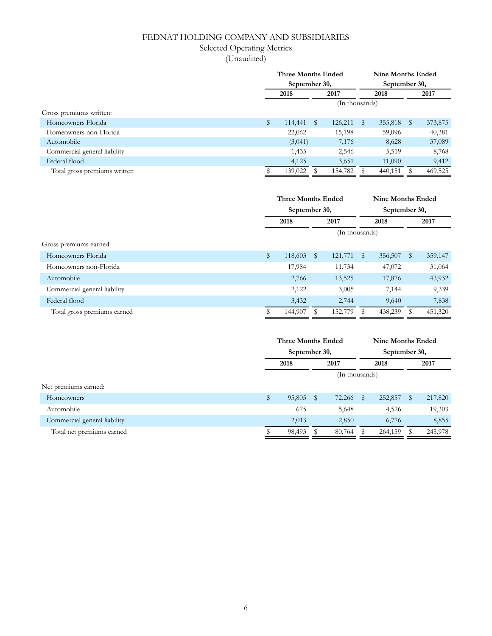## FEDNAT HOLDING COMPANY AND SUBSIDIARIES

## Selected Operating Metrics

(Unaudited)

|                              | <b>Three Months Ended</b> |               |   |                | <b>Nine Months Ended</b> |               |      |         |
|------------------------------|---------------------------|---------------|---|----------------|--------------------------|---------------|------|---------|
|                              |                           | September 30, |   |                |                          | September 30, |      |         |
|                              | 2018                      |               |   | 2017           |                          | 2018          | 2017 |         |
|                              |                           |               |   | (In thousands) |                          |               |      |         |
| Gross premiums written:      |                           |               |   |                |                          |               |      |         |
| Homeowners Florida           | \$                        | 114,441       | S | 126,211        | $^{\circ}$               | 355,818       | S    | 373,875 |
| Homeowners non-Florida       |                           | 22,062        |   | 15,198         |                          | 59,096        |      | 40,381  |
| Automobile                   |                           | (3,041)       |   | 7,176          |                          | 8,628         |      | 37,089  |
| Commercial general liability |                           | 1,435         |   | 2,546          |                          | 5,519         |      | 8,768   |
| Federal flood                |                           | 4,125         |   | 3,651          |                          | 11,090        |      | 9,412   |
| Total gross premiums written |                           | 139,022       |   | 154,782        |                          | 440,151       |      | 469,525 |

|                              |    | <b>Three Months Ended</b> |   |                |            | <b>Nine Months Ended</b> |              |         |  |
|------------------------------|----|---------------------------|---|----------------|------------|--------------------------|--------------|---------|--|
|                              |    | September 30,             |   |                |            | September 30,            |              |         |  |
|                              |    | 2018                      |   | 2017           | 2018       |                          | 2017         |         |  |
|                              |    |                           |   | (In thousands) |            |                          |              |         |  |
| Gross premiums earned:       |    |                           |   |                |            |                          |              |         |  |
| Homeowners Florida           | \$ | 118,603                   | S | 121,771        | $^{\circ}$ | 356,507                  | $\mathbb{S}$ | 359,147 |  |
| Homeowners non-Florida       |    | 17,984                    |   | 11,734         |            | 47,072                   |              | 31,064  |  |
| Automobile                   |    | 2,766                     |   | 13,525         |            | 17,876                   |              | 43,932  |  |
| Commercial general liability |    | 2,122                     |   | 3,005          |            | 7,144                    |              | 9,339   |  |
| Federal flood                |    | 3,432                     |   | 2,744          |            | 9,640                    |              | 7,838   |  |
| Total gross premiums earned  | S  | 144,907                   |   | 152,779        | $^{\circ}$ | 438,239                  | S            | 451,320 |  |

|                              | Three Months Ended<br>September 30, |           |  |           | <b>Nine Months Ended</b> |               |   |         |  |  |
|------------------------------|-------------------------------------|-----------|--|-----------|--------------------------|---------------|---|---------|--|--|
|                              |                                     |           |  |           |                          | September 30, |   |         |  |  |
|                              | 2018                                |           |  | 2017      | 2018                     |               |   | 2017    |  |  |
|                              | (In thousands)                      |           |  |           |                          |               |   |         |  |  |
| Net premiums earned:         |                                     |           |  |           |                          |               |   |         |  |  |
| Homeowners                   | \$                                  | 95,805 \$ |  | 72,266 \$ |                          | 252,857       | S | 217,820 |  |  |
| Automobile                   |                                     | 675       |  | 5,648     |                          | 4,526         |   | 19,303  |  |  |
| Commercial general liability |                                     | 2,013     |  | 2,850     |                          | 6,776         |   | 8,855   |  |  |
| Total net premiums earned    |                                     | 98,493    |  | 80,764    | - \$                     | 264,159       |   | 245,978 |  |  |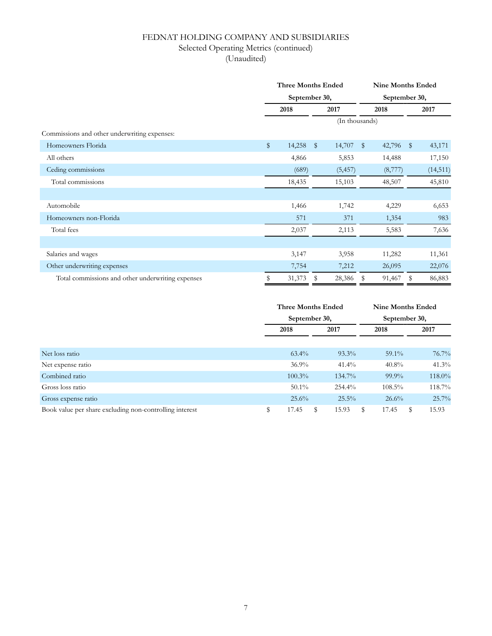## FEDNAT HOLDING COMPANY AND SUBSIDIARIES Selected Operating Metrics (continued)

(Unaudited)

|                                                   | <b>Three Months Ended</b> |               |                |              |              | <b>Nine Months Ended</b> |              |           |
|---------------------------------------------------|---------------------------|---------------|----------------|--------------|--------------|--------------------------|--------------|-----------|
|                                                   |                           | September 30, |                |              |              | September 30,            |              |           |
|                                                   | 2018                      |               |                | 2017<br>2018 |              |                          |              | 2017      |
|                                                   |                           |               | (In thousands) |              |              |                          |              |           |
| Commissions and other underwriting expenses:      |                           |               |                |              |              |                          |              |           |
| Homeowners Florida                                | \$                        | 14,258        | $\mathbb{S}$   | 14,707       | $\mathbb{S}$ | 42,796                   | $\mathbb{S}$ | 43,171    |
| All others                                        |                           | 4,866         |                | 5,853        |              | 14,488                   |              | 17,150    |
| Ceding commissions                                |                           | (689)         |                | (5, 457)     |              | (8,777)                  |              | (14, 511) |
| Total commissions                                 |                           | 18,435        |                | 15,103       |              | 48,507                   |              | 45,810    |
|                                                   |                           |               |                |              |              |                          |              |           |
| Automobile                                        |                           | 1,466         |                | 1,742        |              | 4,229                    |              | 6,653     |
| Homeowners non-Florida                            |                           | 571           |                | 371          |              | 1,354                    |              | 983       |
| Total fees                                        |                           | 2,037         |                | 2,113        |              | 5,583                    |              | 7,636     |
|                                                   |                           |               |                |              |              |                          |              |           |
| Salaries and wages                                |                           | 3,147         |                | 3,958        |              | 11,282                   |              | 11,361    |
| Other underwriting expenses                       |                           | 7,754         |                | 7,212        |              | 26,095                   |              | 22,076    |
| Total commissions and other underwriting expenses | \$                        | 31,373        | S              | 28,386       | S            | 91,467                   | \$           | 86,883    |

|                                                         | <b>Three Months Ended</b> |          | Nine Months Ended |            |  |  |  |
|---------------------------------------------------------|---------------------------|----------|-------------------|------------|--|--|--|
|                                                         | September 30,             |          | September 30,     |            |  |  |  |
|                                                         | 2018                      | 2017     | 2018              | 2017       |  |  |  |
|                                                         |                           |          |                   |            |  |  |  |
| Net loss ratio                                          | $63.4\%$                  | $93.3\%$ | $59.1\%$          | 76.7%      |  |  |  |
| Net expense ratio                                       | $36.9\%$                  | $41.4\%$ | $40.8\%$          | 41.3%      |  |  |  |
| Combined ratio                                          | $100.3\%$                 | 134.7%   | $99.9\%$          | 118.0%     |  |  |  |
| Gross loss ratio                                        | $50.1\%$                  | 254.4%   | $108.5\%$         | 118.7%     |  |  |  |
| Gross expense ratio                                     | 25.6%                     | 25.5%    | 26.6%             | 25.7%      |  |  |  |
| Book value per share excluding non-controlling interest | \$<br>17.45<br>S          | 15.93    | 17.45<br>\$       | 15.93<br>S |  |  |  |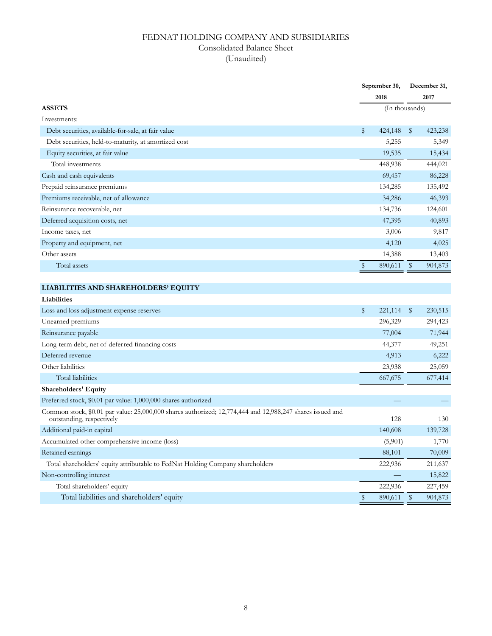## FEDNAT HOLDING COMPANY AND SUBSIDIARIES Consolidated Balance Sheet (Unaudited)

|                                                                                                                                        |      | September 30,  |                         | December 31, |
|----------------------------------------------------------------------------------------------------------------------------------------|------|----------------|-------------------------|--------------|
|                                                                                                                                        |      | 2018           |                         | 2017         |
| <b>ASSETS</b>                                                                                                                          |      | (In thousands) |                         |              |
| Investments:                                                                                                                           |      |                |                         |              |
| Debt securities, available-for-sale, at fair value                                                                                     | \$   | 424,148        | $\sqrt[6]{\frac{1}{2}}$ | 423,238      |
| Debt securities, held-to-maturity, at amortized cost                                                                                   |      | 5,255          |                         | 5,349        |
| Equity securities, at fair value                                                                                                       |      | 19,535         |                         | 15,434       |
| Total investments                                                                                                                      |      | 448,938        |                         | 444,021      |
| Cash and cash equivalents                                                                                                              |      | 69,457         |                         | 86,228       |
| Prepaid reinsurance premiums                                                                                                           |      | 134,285        |                         | 135,492      |
| Premiums receivable, net of allowance                                                                                                  |      | 34,286         |                         | 46,393       |
| Reinsurance recoverable, net                                                                                                           |      | 134,736        |                         | 124,601      |
| Deferred acquisition costs, net                                                                                                        |      | 47,395         |                         | 40,893       |
| Income taxes, net                                                                                                                      |      | 3,006          |                         | 9,817        |
| Property and equipment, net                                                                                                            |      | 4,120          |                         | 4,025        |
| Other assets                                                                                                                           |      | 14,388         |                         | 13,403       |
| Total assets                                                                                                                           | $\,$ | 890,611        | \$                      | 904,873      |
|                                                                                                                                        |      |                |                         |              |
| LIABILITIES AND SHAREHOLDERS' EQUITY                                                                                                   |      |                |                         |              |
| Liabilities                                                                                                                            |      |                |                         |              |
| Loss and loss adjustment expense reserves                                                                                              | \$   | 221,114        | $\sqrt[6]{\frac{1}{2}}$ | 230,515      |
| Unearned premiums                                                                                                                      |      | 296,329        |                         | 294,423      |
| Reinsurance payable                                                                                                                    |      | 77,004         |                         | 71,944       |
| Long-term debt, net of deferred financing costs                                                                                        |      | 44,377         |                         | 49,251       |
| Deferred revenue                                                                                                                       |      | 4,913          |                         | 6,222        |
| Other liabilities                                                                                                                      |      | 23,938         |                         | 25,059       |
| Total liabilities                                                                                                                      |      | 667,675        |                         | 677,414      |
| <b>Shareholders' Equity</b>                                                                                                            |      |                |                         |              |
| Preferred stock, \$0.01 par value: 1,000,000 shares authorized                                                                         |      |                |                         |              |
| Common stock, \$0.01 par value: 25,000,000 shares authorized; 12,774,444 and 12,988,247 shares issued and<br>outstanding, respectively |      | 128            |                         | 130          |
| Additional paid-in capital                                                                                                             |      | 140,608        |                         | 139,728      |
| Accumulated other comprehensive income (loss)                                                                                          |      | (5,901)        |                         | 1,770        |
| Retained earnings                                                                                                                      |      | 88,101         |                         | 70,009       |
| Total shareholders' equity attributable to FedNat Holding Company shareholders                                                         |      | 222,936        |                         | 211,637      |
| Non-controlling interest                                                                                                               |      |                |                         | 15,822       |
| Total shareholders' equity                                                                                                             |      | 222,936        |                         | 227,459      |
| Total liabilities and shareholders' equity                                                                                             | \$   | 890,611        | $\frac{1}{2}$           | 904,873      |
|                                                                                                                                        |      |                |                         |              |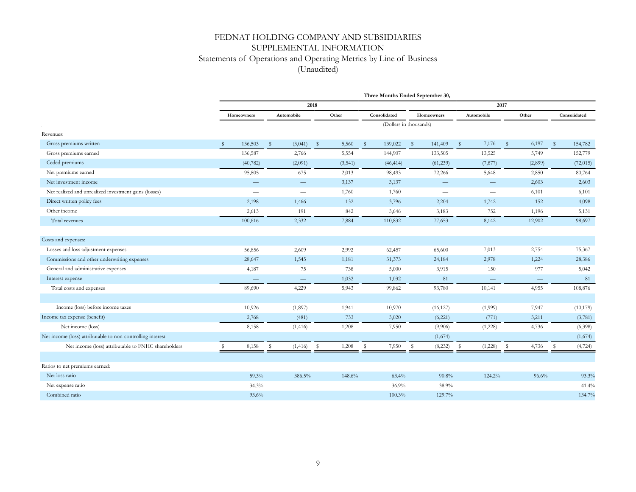## FEDNAT HOLDING COMPANY AND SUBSIDIARIES SUPPLEMENTAL INFORMATION Statements of Operations and Operating Metrics by Line of Business (Unaudited)

|                                                            |                          |              |                          |              |                          |              | Three Months Ended September 30, |    |                          |              |                   |              |                          |                    |              |
|------------------------------------------------------------|--------------------------|--------------|--------------------------|--------------|--------------------------|--------------|----------------------------------|----|--------------------------|--------------|-------------------|--------------|--------------------------|--------------------|--------------|
|                                                            |                          |              |                          | 2018         |                          |              |                                  |    |                          |              |                   | 2017         |                          |                    |              |
|                                                            | Homeowners               |              | Automobile               |              | Other                    |              | Consolidated                     |    | Homeowners               |              | Automobile        |              | Other                    |                    | Consolidated |
|                                                            |                          |              |                          |              |                          |              | (Dollars in thousands)           |    |                          |              |                   |              |                          |                    |              |
| Revenues:                                                  |                          |              |                          |              |                          |              |                                  |    |                          |              |                   |              |                          |                    |              |
| Gross premiums written                                     | 136,503<br><sup>S</sup>  | $\mathbb{S}$ | (3,041)                  | $\mathbb{S}$ | 5,560                    | $\mathsf{s}$ | 139,022                          | s. | 141,409                  | $\mathbb{S}$ | 7,176             | $\mathsf{S}$ | 6,197                    | $\mathbf{\hat{s}}$ | 154,782      |
| Gross premiums earned                                      | 136,587                  |              | 2,766                    |              | 5,554                    |              | 144,907                          |    | 133,505                  |              | 13,525            |              | 5,749                    |                    | 152,779      |
| Ceded premiums                                             | (40, 782)                |              | (2,091)                  |              | (3,541)                  |              | (46, 414)                        |    | (61, 239)                |              | (7, 877)          |              | (2,899)                  |                    | (72, 015)    |
| Net premiums earned                                        | 95,805                   |              | 675                      |              | 2,013                    |              | 98,493                           |    | 72,266                   |              | 5,648             |              | 2,850                    |                    | 80,764       |
| Net investment income                                      |                          |              | $\qquad \qquad -$        |              | 3,137                    |              | 3,137                            |    | $\overline{\phantom{0}}$ |              | $\hspace{0.05cm}$ |              | 2,603                    |                    | 2,603        |
| Net realized and unrealized investment gains (losses)      | $\overline{\phantom{0}}$ |              | $\overline{\phantom{0}}$ |              | 1,760                    |              | 1,760                            |    | $\overline{\phantom{0}}$ |              |                   |              | 6,101                    |                    | 6,101        |
| Direct written policy fees                                 | 2,198                    |              | 1,466                    |              | 132                      |              | 3,796                            |    | 2,204                    |              | 1,742             |              | 152                      |                    | 4,098        |
| Other income                                               | 2,613                    |              | 191                      |              | 842                      |              | 3,646                            |    | 3,183                    |              | 752               |              | 1,196                    |                    | 5,131        |
| Total revenues                                             | 100,616                  |              | 2,332                    |              | 7,884                    |              | 110,832                          |    | 77,653                   |              | 8,142             |              | 12,902                   |                    | 98,697       |
|                                                            |                          |              |                          |              |                          |              |                                  |    |                          |              |                   |              |                          |                    |              |
| Costs and expenses:                                        |                          |              |                          |              |                          |              |                                  |    |                          |              |                   |              |                          |                    |              |
| Losses and loss adjustment expenses                        | 56,856                   |              | 2,609                    |              | 2,992                    |              | 62,457                           |    | 65,600                   |              | 7,013             |              | 2,754                    |                    | 75,367       |
| Commissions and other underwriting expenses                | 28,647                   |              | 1,545                    |              | 1,181                    |              | 31,373                           |    | 24,184                   |              | 2,978             |              | 1,224                    |                    | 28,386       |
| General and administrative expenses                        | 4,187                    |              | 75                       |              | 738                      |              | 5,000                            |    | 3,915                    |              | 150               |              | 977                      |                    | 5,042        |
| Interest expense                                           | $\overline{\phantom{a}}$ |              | $\qquad \qquad -$        |              | 1,032                    |              | 1,032                            |    | 81                       |              | $\qquad \qquad -$ |              | $\overline{\phantom{m}}$ |                    | 81           |
| Total costs and expenses                                   | 89,690                   |              | 4,229                    |              | 5,943                    |              | 99,862                           |    | 93,780                   |              | 10,141            |              | 4,955                    |                    | 108,876      |
|                                                            |                          |              |                          |              |                          |              |                                  |    |                          |              |                   |              |                          |                    |              |
| Income (loss) before income taxes                          | 10,926                   |              | (1,897)                  |              | 1,941                    |              | 10,970                           |    | (16, 127)                |              | (1,999)           |              | 7,947                    |                    | (10, 179)    |
| Income tax expense (benefit)                               | 2,768                    |              | (481)                    |              | 733                      |              | 3,020                            |    | (6,221)                  |              | (771)             |              | 3,211                    |                    | (3,781)      |
| Net income (loss)                                          | 8,158                    |              | (1, 416)                 |              | 1,208                    |              | 7,950                            |    | (9,906)                  |              | (1,228)           |              | 4,736                    |                    | (6,398)      |
| Net income (loss) attributable to non-controlling interest |                          |              |                          |              | $\overline{\phantom{m}}$ |              | $\overline{\phantom{m}}$         |    | (1,674)                  |              |                   |              | $\qquad \qquad -$        |                    | (1,674)      |
| Net income (loss) attributable to FNHC shareholders        | 8,158<br>S               | s            | (1, 416)                 | \$           | 1,208                    | s            | 7,950                            | \$ | (8, 232)                 | s            | (1,228)           | s            | 4,736                    | s.                 | (4, 724)     |
|                                                            |                          |              |                          |              |                          |              |                                  |    |                          |              |                   |              |                          |                    |              |
| Ratios to net premiums earned:                             |                          |              |                          |              |                          |              |                                  |    |                          |              |                   |              |                          |                    |              |
| Net loss ratio                                             | 59.3%                    |              | 386.5%                   |              | 148.6%                   |              | 63.4%                            |    | 90.8%                    |              | 124.2%            |              | 96.6%                    |                    | 93.3%        |
| Net expense ratio                                          | 34.3%                    |              |                          |              |                          |              | 36.9%                            |    | 38.9%                    |              |                   |              |                          |                    | 41.4%        |
| Combined ratio                                             | 93.6%                    |              |                          |              |                          |              | 100.3%                           |    | 129.7%                   |              |                   |              |                          |                    | 134.7%       |